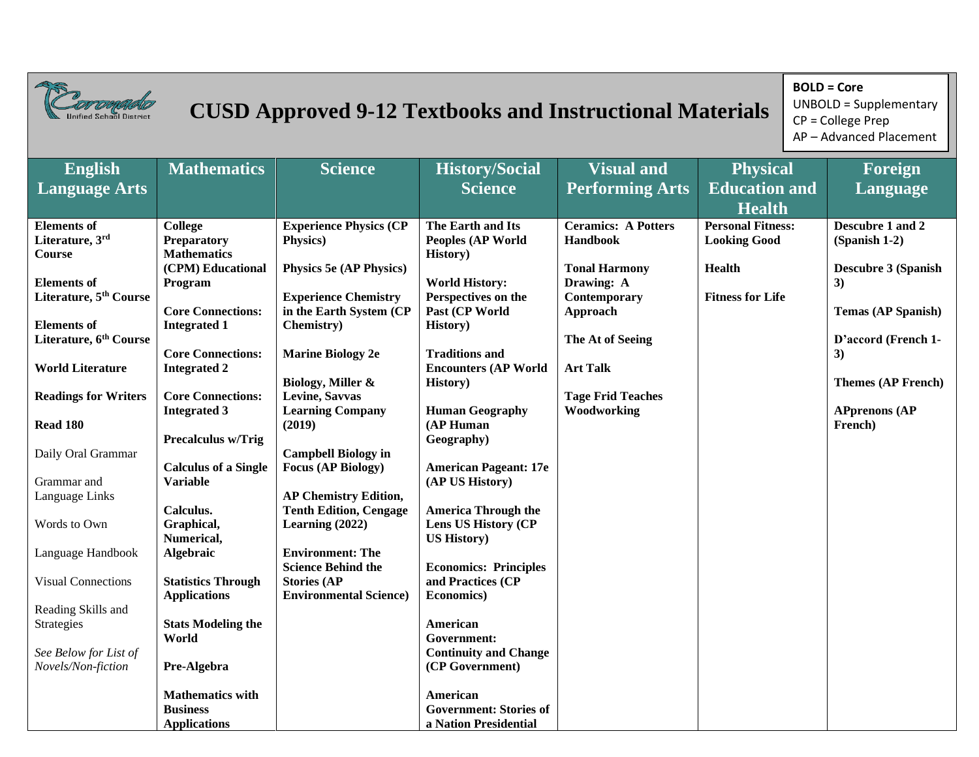

## *Corrongaldo* **CUSD Approved 9-12 Textbooks and Instructional Materials**

**BOLD = Core** UNBOLD = Supplementary CP = College Prep AP – Advanced Placement

| <b>English</b>                     | <b>Mathematics</b>           | <b>Science</b>                                                | <b>History/Social</b>                                    | <b>Visual and</b>                  | <b>Physical</b>                       | Foreign                          |
|------------------------------------|------------------------------|---------------------------------------------------------------|----------------------------------------------------------|------------------------------------|---------------------------------------|----------------------------------|
| <b>Language Arts</b>               |                              |                                                               | <b>Science</b>                                           | <b>Performing Arts</b>             | <b>Education and</b><br><b>Health</b> | Language                         |
| <b>Elements</b> of                 | <b>College</b>               | <b>Experience Physics (CP</b>                                 | The Earth and Its                                        | <b>Ceramics: A Potters</b>         | <b>Personal Fitness:</b>              | Descubre 1 and 2                 |
| Literature, 3rd                    | <b>Preparatory</b>           | Physics)                                                      | <b>Peoples (AP World</b>                                 | Handbook                           | <b>Looking Good</b>                   | (Spanish 1-2)                    |
| <b>Course</b>                      | <b>Mathematics</b>           |                                                               | History)                                                 |                                    |                                       |                                  |
| <b>Elements</b> of                 | (CPM) Educational<br>Program | <b>Physics 5e (AP Physics)</b>                                | <b>World History:</b>                                    | <b>Tonal Harmony</b><br>Drawing: A | <b>Health</b>                         | <b>Descubre 3 (Spanish</b><br>3) |
| Literature, 5 <sup>th</sup> Course |                              | <b>Experience Chemistry</b>                                   | Perspectives on the                                      | Contemporary                       | <b>Fitness for Life</b>               |                                  |
|                                    | <b>Core Connections:</b>     | in the Earth System (CP                                       | Past (CP World                                           | Approach                           |                                       | <b>Temas (AP Spanish)</b>        |
| <b>Elements</b> of                 | <b>Integrated 1</b>          | Chemistry)                                                    | History)                                                 |                                    |                                       |                                  |
| Literature, 6 <sup>th</sup> Course |                              |                                                               |                                                          | The At of Seeing                   |                                       | D'accord (French 1-              |
|                                    | <b>Core Connections:</b>     | <b>Marine Biology 2e</b>                                      | <b>Traditions and</b>                                    |                                    |                                       | 3)                               |
| <b>World Literature</b>            | <b>Integrated 2</b>          |                                                               | <b>Encounters (AP World</b>                              | <b>Art Talk</b>                    |                                       |                                  |
|                                    | <b>Core Connections:</b>     | Biology, Miller &<br>Levine, Savvas                           | <b>History</b> )                                         | <b>Tage Frid Teaches</b>           |                                       | <b>Themes (AP French)</b>        |
| <b>Readings for Writers</b>        | <b>Integrated 3</b>          | <b>Learning Company</b>                                       | <b>Human Geography</b>                                   | Woodworking                        |                                       | <b>APprenons (AP</b>             |
| Read 180                           |                              | (2019)                                                        | (AP Human                                                |                                    |                                       | French)                          |
|                                    | Precalculus w/Trig           |                                                               | Geography)                                               |                                    |                                       |                                  |
| Daily Oral Grammar                 |                              | <b>Campbell Biology in</b>                                    |                                                          |                                    |                                       |                                  |
|                                    | <b>Calculus of a Single</b>  | <b>Focus (AP Biology)</b>                                     | <b>American Pageant: 17e</b>                             |                                    |                                       |                                  |
| Grammar and                        | <b>Variable</b>              |                                                               | (AP US History)                                          |                                    |                                       |                                  |
| Language Links                     | Calculus.                    | <b>AP Chemistry Edition,</b><br><b>Tenth Edition, Cengage</b> |                                                          |                                    |                                       |                                  |
| Words to Own                       | Graphical,                   | Learning $(2022)$                                             | <b>America Through the</b><br><b>Lens US History (CP</b> |                                    |                                       |                                  |
|                                    | Numerical,                   |                                                               | <b>US History</b> )                                      |                                    |                                       |                                  |
| Language Handbook                  | <b>Algebraic</b>             | <b>Environment: The</b>                                       |                                                          |                                    |                                       |                                  |
|                                    |                              | <b>Science Behind the</b>                                     | <b>Economics: Principles</b>                             |                                    |                                       |                                  |
| <b>Visual Connections</b>          | <b>Statistics Through</b>    | <b>Stories (AP</b>                                            | and Practices (CP                                        |                                    |                                       |                                  |
|                                    | <b>Applications</b>          | <b>Environmental Science)</b>                                 | <b>Economics</b> )                                       |                                    |                                       |                                  |
| Reading Skills and                 | <b>Stats Modeling the</b>    |                                                               | American                                                 |                                    |                                       |                                  |
| Strategies                         | World                        |                                                               | Government:                                              |                                    |                                       |                                  |
| See Below for List of              |                              |                                                               | <b>Continuity and Change</b>                             |                                    |                                       |                                  |
| Novels/Non-fiction                 | Pre-Algebra                  |                                                               | (CP Government)                                          |                                    |                                       |                                  |
|                                    |                              |                                                               |                                                          |                                    |                                       |                                  |
|                                    | <b>Mathematics with</b>      |                                                               | American                                                 |                                    |                                       |                                  |
|                                    | <b>Business</b>              |                                                               | <b>Government: Stories of</b>                            |                                    |                                       |                                  |
|                                    | <b>Applications</b>          |                                                               | a Nation Presidential                                    |                                    |                                       |                                  |